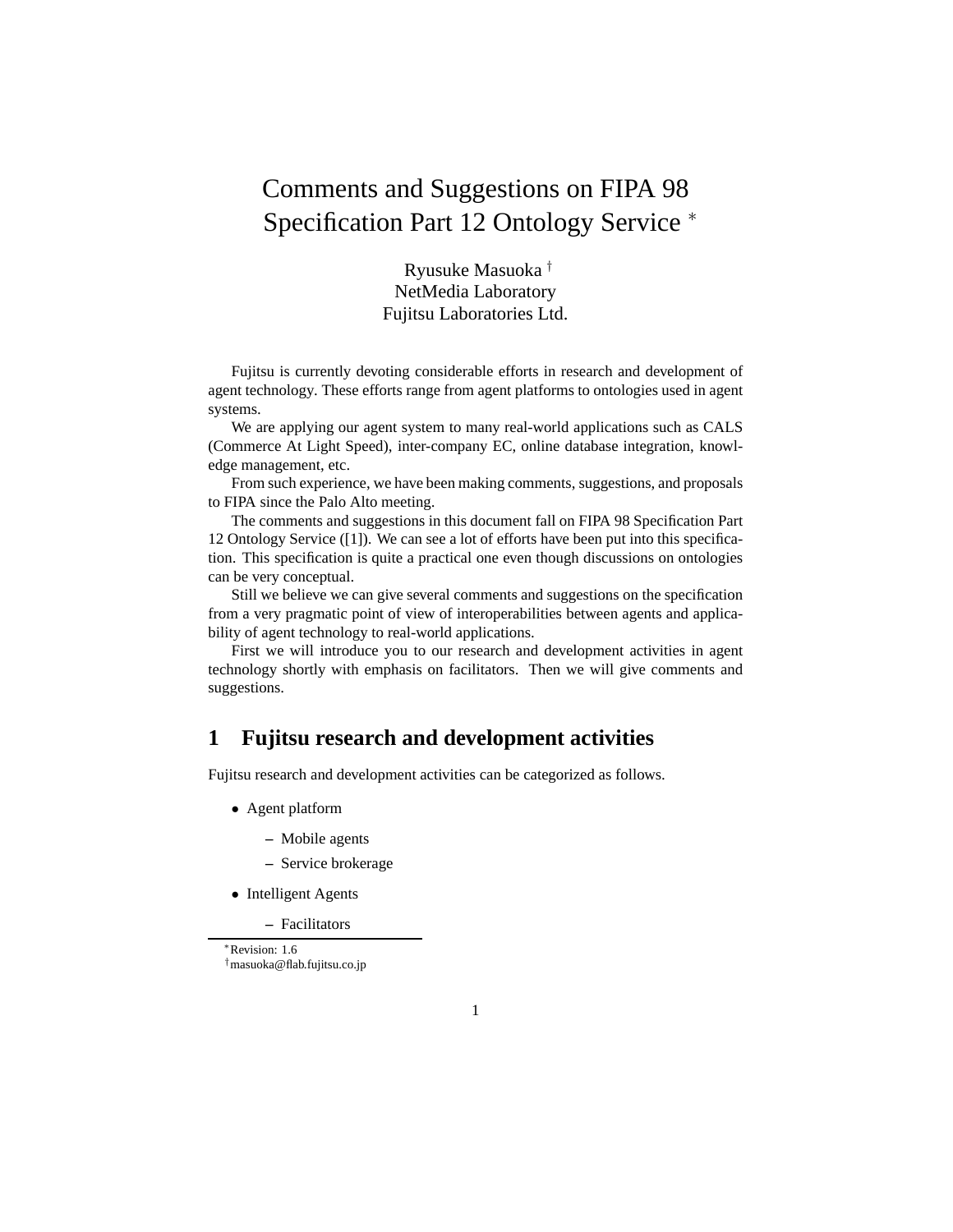# Comments and Suggestions on FIPA 98 Specification Part 12 Ontology Service <sup>∗</sup>

Ryusuke Masuoka *†* NetMedia Laboratory Fujitsu Laboratories Ltd.

Fujitsu is currently devoting considerable efforts in research and development of agent technology. These efforts range from agent platforms to ontologies used in agent systems.

We are applying our agent system to many real-world applications such as CALS (Commerce At Light Speed), inter-company EC, online database integration, knowledge management, etc.

From such experience, we have been making comments, suggestions, and proposals to FIPA since the Palo Alto meeting.

The comments and suggestions in this document fall on FIPA 98 Specification Part 12 Ontology Service ([1]). We can see a lot of efforts have been put into this specification. This specification is quite a practical one even though discussions on ontologies can be very conceptual.

Still we believe we can give several comments and suggestions on the specification from a very pragmatic point of view of interoperabilities between agents and applicability of agent technology to real-world applications.

First we will introduce you to our research and development activities in agent technology shortly with emphasis on facilitators. Then we will give comments and suggestions.

# **1 Fujitsu research and development activities**

Fujitsu research and development activities can be categorized as follows.

- Agent platform
	- **–** Mobile agents
	- **–** Service brokerage
- Intelligent Agents

**–** Facilitators

∗Revision: 1.6 †masuoka@flab.fujitsu.co.jp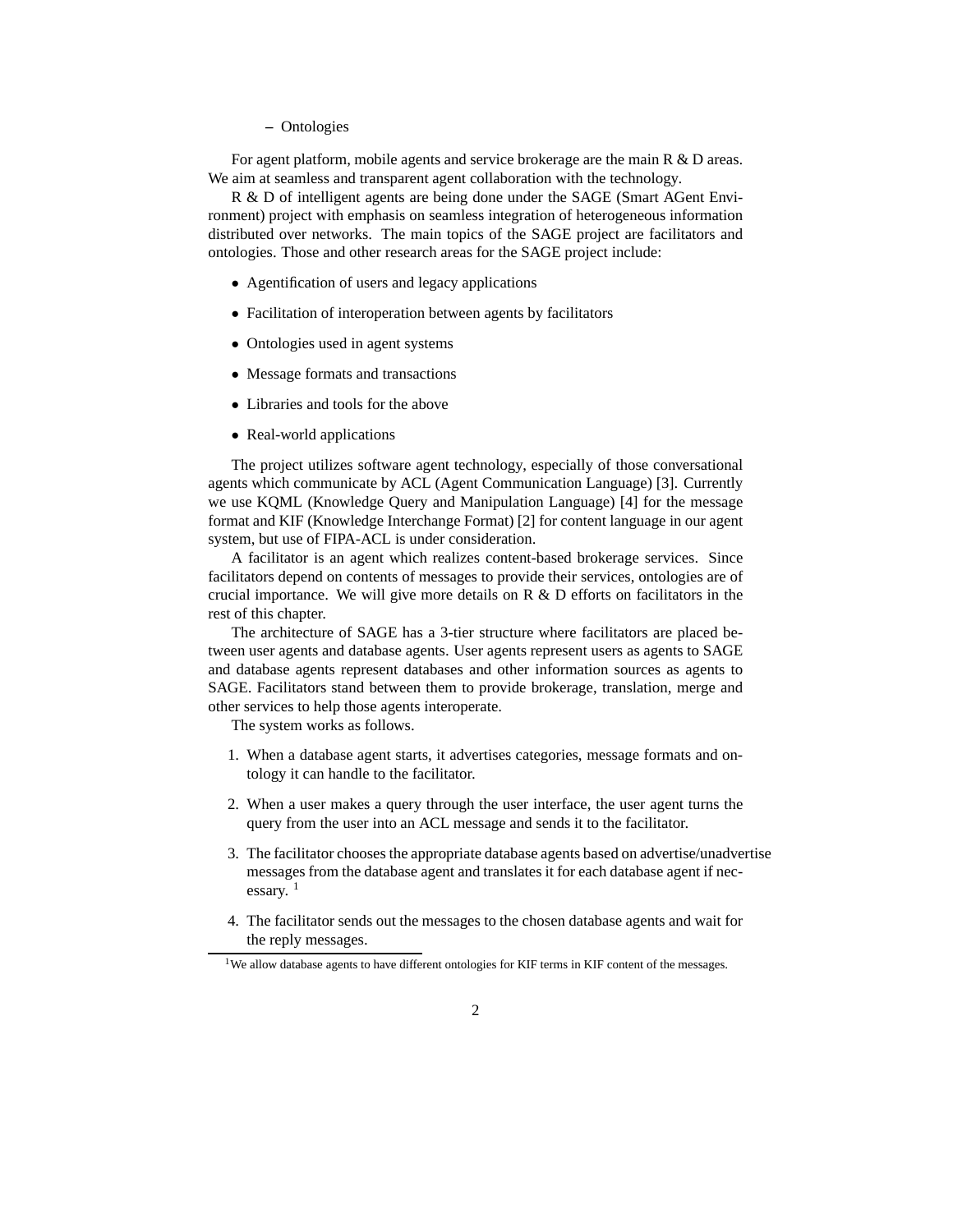**–** Ontologies

For agent platform, mobile agents and service brokerage are the main R & D areas. We aim at seamless and transparent agent collaboration with the technology.

R & D of intelligent agents are being done under the SAGE (Smart AGent Environment) project with emphasis on seamless integration of heterogeneous information distributed over networks. The main topics of the SAGE project are facilitators and ontologies. Those and other research areas for the SAGE project include:

- Agentification of users and legacy applications
- Facilitation of interoperation between agents by facilitators
- Ontologies used in agent systems
- Message formats and transactions
- Libraries and tools for the above
- Real-world applications

The project utilizes software agent technology, especially of those conversational agents which communicate by ACL (Agent Communication Language) [3]. Currently we use KQML (Knowledge Query and Manipulation Language) [4] for the message format and KIF (Knowledge Interchange Format) [2] for content language in our agent system, but use of FIPA-ACL is under consideration.

A facilitator is an agent which realizes content-based brokerage services. Since facilitators depend on contents of messages to provide their services, ontologies are of crucial importance. We will give more details on  $R \& D$  efforts on facilitators in the rest of this chapter.

The architecture of SAGE has a 3-tier structure where facilitators are placed between user agents and database agents. User agents represent users as agents to SAGE and database agents represent databases and other information sources as agents to SAGE. Facilitators stand between them to provide brokerage, translation, merge and other services to help those agents interoperate.

The system works as follows.

- 1. When a database agent starts, it advertises categories, message formats and ontology it can handle to the facilitator.
- 2. When a user makes a query through the user interface, the user agent turns the query from the user into an ACL message and sends it to the facilitator.
- 3. The facilitator chooses the appropriate database agents based on advertise/unadvertise messages from the database agent and translates it for each database agent if necessary.  $1$
- 4. The facilitator sends out the messages to the chosen database agents and wait for the reply messages.

<sup>&</sup>lt;sup>1</sup>We allow database agents to have different ontologies for KIF terms in KIF content of the messages.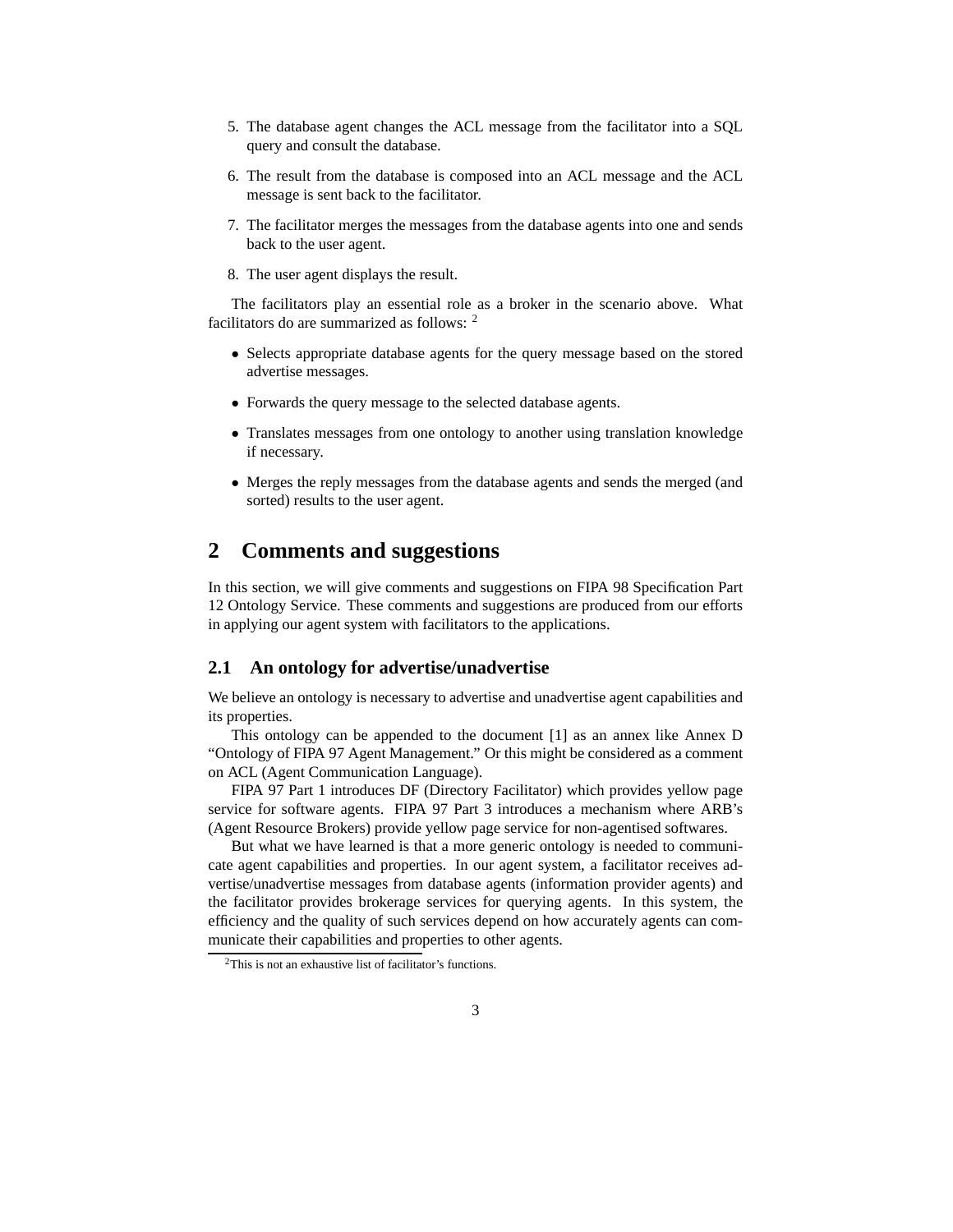- 5. The database agent changes the ACL message from the facilitator into a SQL query and consult the database.
- 6. The result from the database is composed into an ACL message and the ACL message is sent back to the facilitator.
- 7. The facilitator merges the messages from the database agents into one and sends back to the user agent.
- 8. The user agent displays the result.

The facilitators play an essential role as a broker in the scenario above. What facilitators do are summarized as follows: <sup>2</sup>

- Selects appropriate database agents for the query message based on the stored advertise messages.
- Forwards the query message to the selected database agents.
- Translates messages from one ontology to another using translation knowledge if necessary.
- Merges the reply messages from the database agents and sends the merged (and sorted) results to the user agent.

## **2 Comments and suggestions**

In this section, we will give comments and suggestions on FIPA 98 Specification Part 12 Ontology Service. These comments and suggestions are produced from our efforts in applying our agent system with facilitators to the applications.

#### **2.1 An ontology for advertise/unadvertise**

We believe an ontology is necessary to advertise and unadvertise agent capabilities and its properties.

This ontology can be appended to the document [1] as an annex like Annex D "Ontology of FIPA 97 Agent Management." Or this might be considered as a comment on ACL (Agent Communication Language).

FIPA 97 Part 1 introduces DF (Directory Facilitator) which provides yellow page service for software agents. FIPA 97 Part 3 introduces a mechanism where ARB's (Agent Resource Brokers) provide yellow page service for non-agentised softwares.

But what we have learned is that a more generic ontology is needed to communicate agent capabilities and properties. In our agent system, a facilitator receives advertise/unadvertise messages from database agents (information provider agents) and the facilitator provides brokerage services for querying agents. In this system, the efficiency and the quality of such services depend on how accurately agents can communicate their capabilities and properties to other agents.

<sup>2</sup>This is not an exhaustive list of facilitator's functions.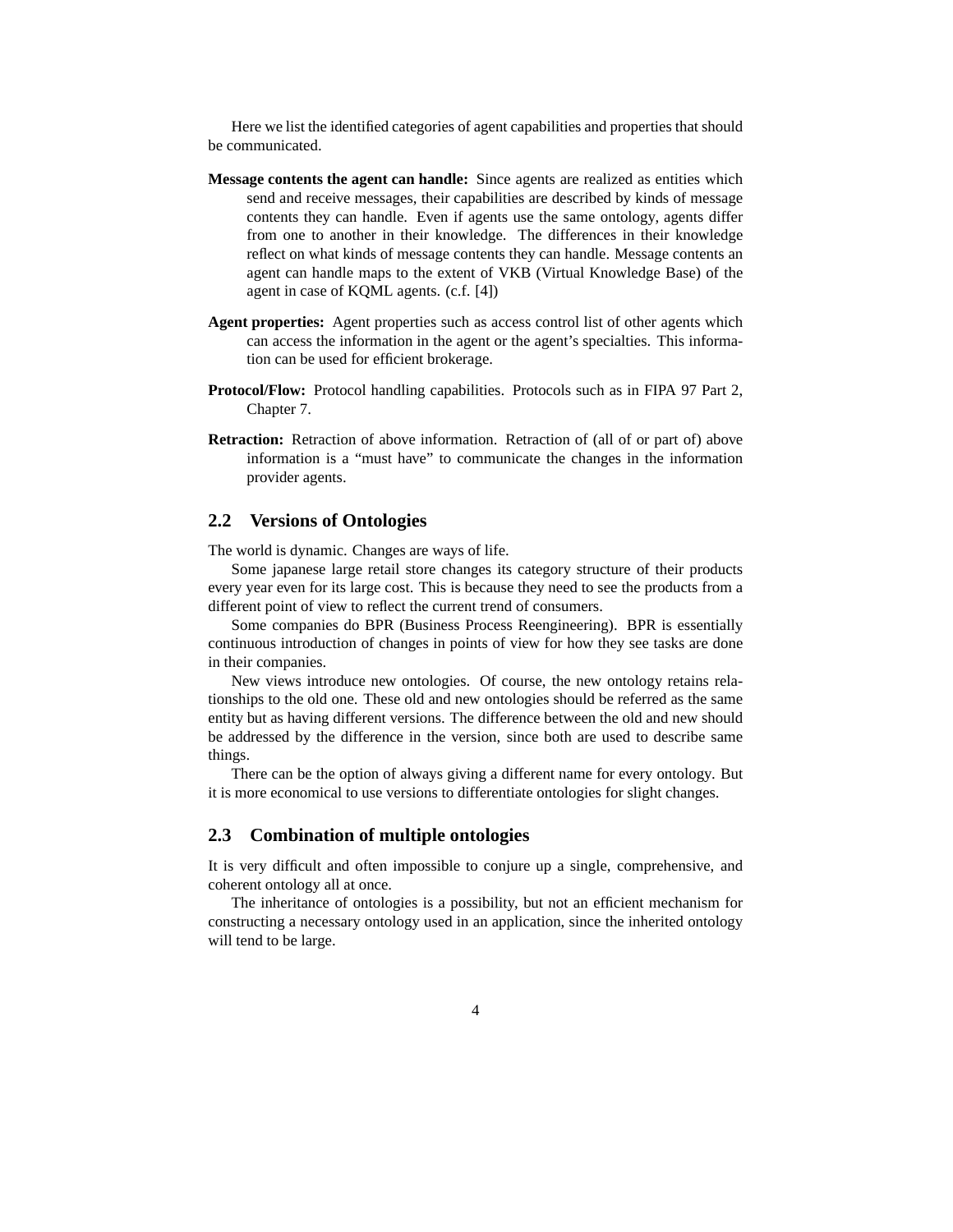Here we list the identified categories of agent capabilities and properties that should be communicated.

- **Message contents the agent can handle:** Since agents are realized as entities which send and receive messages, their capabilities are described by kinds of message contents they can handle. Even if agents use the same ontology, agents differ from one to another in their knowledge. The differences in their knowledge reflect on what kinds of message contents they can handle. Message contents an agent can handle maps to the extent of VKB (Virtual Knowledge Base) of the agent in case of KQML agents. (c.f. [4])
- **Agent properties:** Agent properties such as access control list of other agents which can access the information in the agent or the agent's specialties. This information can be used for efficient brokerage.
- **Protocol/Flow:** Protocol handling capabilities. Protocols such as in FIPA 97 Part 2, Chapter 7.
- **Retraction:** Retraction of above information. Retraction of (all of or part of) above information is a "must have" to communicate the changes in the information provider agents.

#### **2.2 Versions of Ontologies**

The world is dynamic. Changes are ways of life.

Some japanese large retail store changes its category structure of their products every year even for its large cost. This is because they need to see the products from a different point of view to reflect the current trend of consumers.

Some companies do BPR (Business Process Reengineering). BPR is essentially continuous introduction of changes in points of view for how they see tasks are done in their companies.

New views introduce new ontologies. Of course, the new ontology retains relationships to the old one. These old and new ontologies should be referred as the same entity but as having different versions. The difference between the old and new should be addressed by the difference in the version, since both are used to describe same things.

There can be the option of always giving a different name for every ontology. But it is more economical to use versions to differentiate ontologies for slight changes.

#### **2.3 Combination of multiple ontologies**

It is very difficult and often impossible to conjure up a single, comprehensive, and coherent ontology all at once.

The inheritance of ontologies is a possibility, but not an efficient mechanism for constructing a necessary ontology used in an application, since the inherited ontology will tend to be large.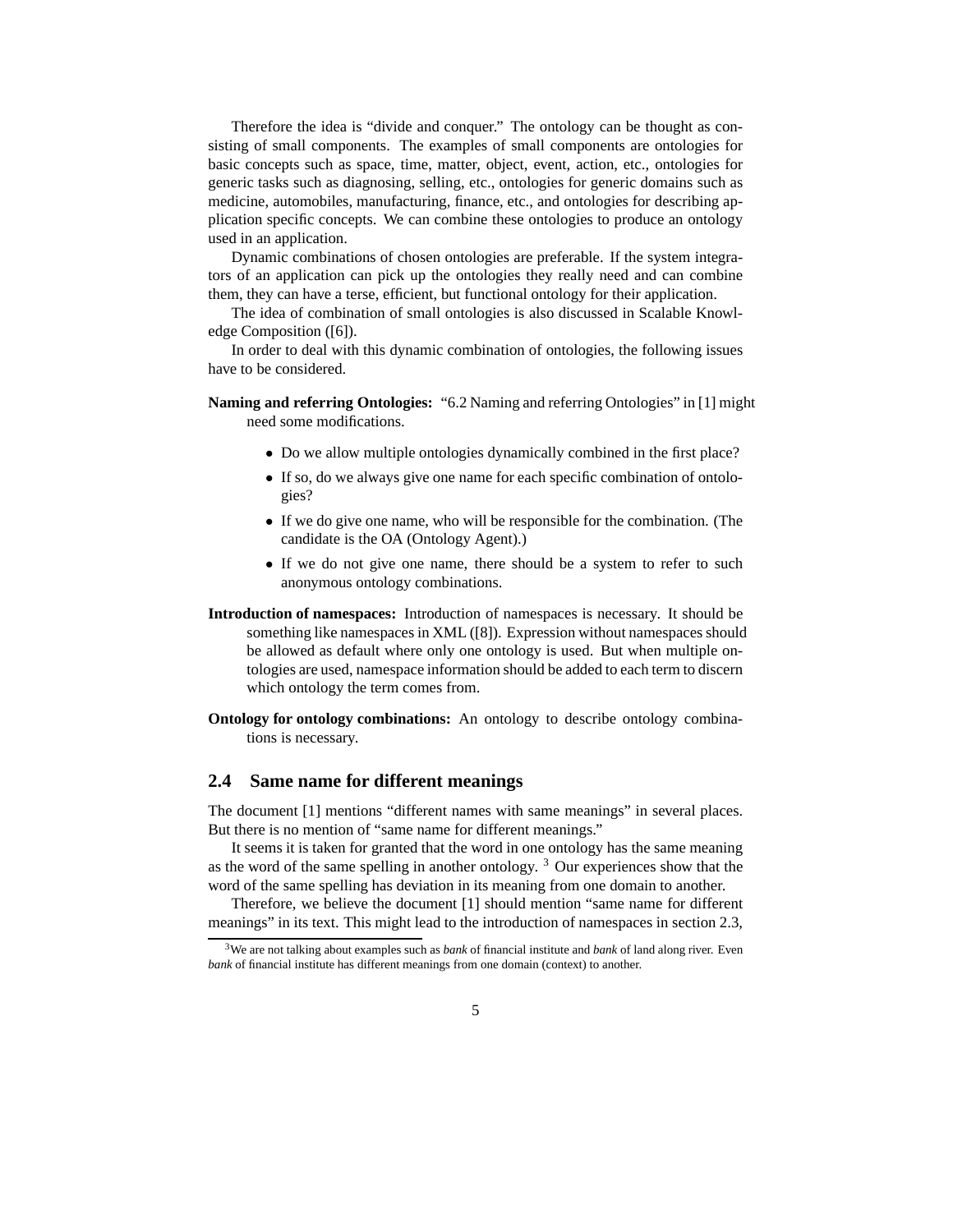Therefore the idea is "divide and conquer." The ontology can be thought as consisting of small components. The examples of small components are ontologies for basic concepts such as space, time, matter, object, event, action, etc., ontologies for generic tasks such as diagnosing, selling, etc., ontologies for generic domains such as medicine, automobiles, manufacturing, finance, etc., and ontologies for describing application specific concepts. We can combine these ontologies to produce an ontology used in an application.

Dynamic combinations of chosen ontologies are preferable. If the system integrators of an application can pick up the ontologies they really need and can combine them, they can have a terse, efficient, but functional ontology for their application.

The idea of combination of small ontologies is also discussed in Scalable Knowledge Composition ([6]).

In order to deal with this dynamic combination of ontologies, the following issues have to be considered.

**Naming and referring Ontologies:** "6.2 Naming and referring Ontologies" in [1] might need some modifications.

- Do we allow multiple ontologies dynamically combined in the first place?
- If so, do we always give one name for each specific combination of ontologies?
- If we do give one name, who will be responsible for the combination. (The candidate is the OA (Ontology Agent).)
- If we do not give one name, there should be a system to refer to such anonymous ontology combinations.
- **Introduction of namespaces:** Introduction of namespaces is necessary. It should be something like namespaces in XML ([8]). Expression without namespaces should be allowed as default where only one ontology is used. But when multiple ontologies are used, namespace information should be added to each term to discern which ontology the term comes from.
- **Ontology for ontology combinations:** An ontology to describe ontology combinations is necessary.

## **2.4 Same name for different meanings**

The document [1] mentions "different names with same meanings" in several places. But there is no mention of "same name for different meanings."

It seems it is taken for granted that the word in one ontology has the same meaning as the word of the same spelling in another ontology. <sup>3</sup> Our experiences show that the word of the same spelling has deviation in its meaning from one domain to another.

Therefore, we believe the document [1] should mention "same name for different meanings" in its text. This might lead to the introduction of namespaces in section 2.3,

<sup>3</sup>We are not talking about examples such as *bank* of financial institute and *bank* of land along river. Even *bank* of financial institute has different meanings from one domain (context) to another.